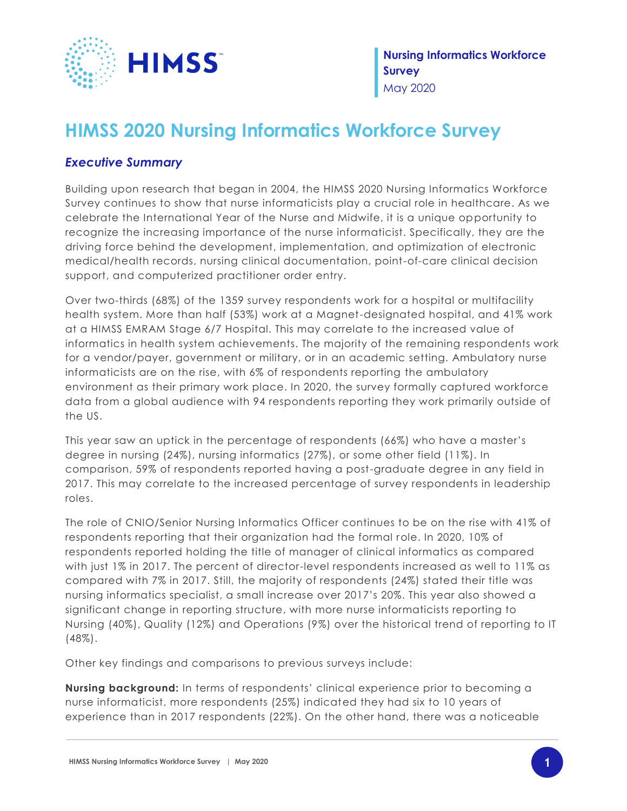

**Nursing Informatics Workforce Survey** May 2020

## **HIMSS 2020 Nursing Informatics Workforce Survey**

## *Executive Summary*

Building upon research that began in 2004, the HIMSS 2020 Nursing Informatics Workforce Survey continues to show that nurse informaticists play a crucial role in healthcare. As we celebrate the International Year of the Nurse and Midwife, it is a unique opportunity to recognize the increasing importance of the nurse informaticist. Specifically, they are the driving force behind the development, implementation, and optimization of electronic medical/health records, nursing clinical documentation, point-of-care clinical decision support, and computerized practitioner order entry.

Over two-thirds (68%) of the 1359 survey respondents work for a hospital or multifacility health system. More than half (53%) work at a Magnet-designated hospital, and 41% work at a HIMSS EMRAM Stage 6/7 Hospital. This may correlate to the increased value of informatics in health system achievements. The majority of the remaining respondents work for a vendor/payer, government or military, or in an academic setting. Ambulatory nurse informaticists are on the rise, with 6% of respondents reporting the ambulatory environment as their primary work place. In 2020, the survey formally captured workforce data from a global audience with 94 respondents reporting they work primarily outside of the US.

This year saw an uptick in the percentage of respondents (66%) who have a master's degree in nursing (24%), nursing informatics (27%), or some other field (11%). In comparison, 59% of respondents reported having a post-graduate degree in any field in 2017. This may correlate to the increased percentage of survey respondents in leadership roles.

The role of CNIO/Senior Nursing Informatics Officer continues to be on the rise with 41% of respondents reporting that their organization had the formal role. In 2020, 10% of respondents reported holding the title of manager of clinical informatics as compared with just 1% in 2017. The percent of director-level respondents increased as well to 11% as compared with 7% in 2017. Still, the majority of respondents (24%) stated their title was nursing informatics specialist, a small increase over 2017's 20%. This year also showed a significant change in reporting structure, with more nurse informaticists reporting to Nursing (40%), Quality (12%) and Operations (9%) over the historical trend of reporting to IT (48%).

Other key findings and comparisons to previous surveys include:

**Nursing background:** In terms of respondents' clinical experience prior to becoming a nurse informaticist, more respondents (25%) indicated they had six to 10 years of experience than in 2017 respondents (22%). On the other hand, there was a noticeable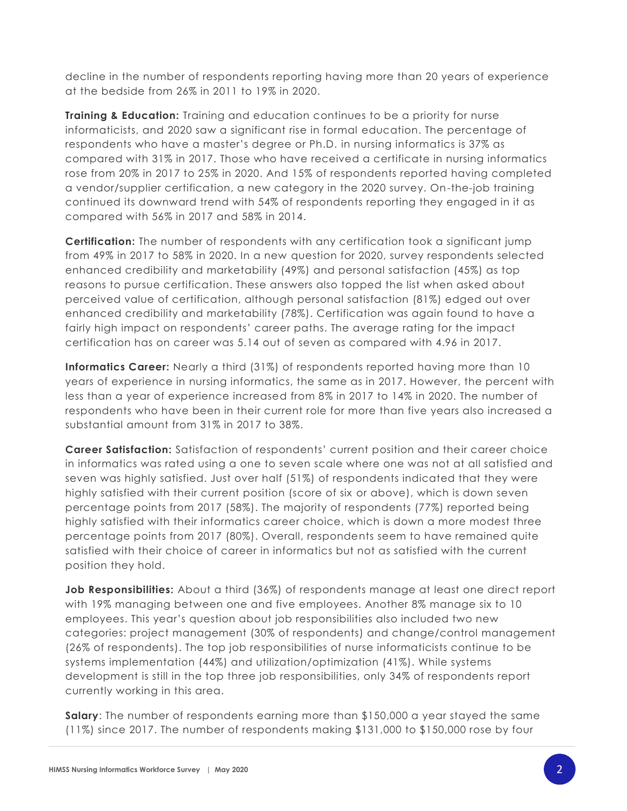decline in the number of respondents reporting having more than 20 years of experience at the bedside from 26% in 2011 to 19% in 2020.

**Training & Education:** Training and education continues to be a priority for nurse informaticists, and 2020 saw a significant rise in formal education. The percentage of respondents who have a master's degree or Ph.D. in nursing informatics is 37% as compared with 31% in 2017. Those who have received a certificate in nursing informatics rose from 20% in 2017 to 25% in 2020. And 15% of respondents reported having completed a vendor/supplier certification, a new category in the 2020 survey. On-the-job training continued its downward trend with 54% of respondents reporting they engaged in it as compared with 56% in 2017 and 58% in 2014.

**Certification:** The number of respondents with any certification took a significant jump from 49% in 2017 to 58% in 2020. In a new question for 2020, survey respondents selected enhanced credibility and marketability (49%) and personal satisfaction (45%) as top reasons to pursue certification. These answers also topped the list when asked about perceived value of certification, although personal satisfaction (81%) edged out over enhanced credibility and marketability (78%). Certification was again found to have a fairly high impact on respondents' career paths. The average rating for the impact certification has on career was 5.14 out of seven as compared with 4.96 in 2017.

**Informatics Career:** Nearly a third (31%) of respondents reported having more than 10 years of experience in nursing informatics, the same as in 2017. However, the percent with less than a year of experience increased from 8% in 2017 to 14% in 2020. The number of respondents who have been in their current role for more than five years also increased a substantial amount from 31% in 2017 to 38%.

**Career Satisfaction:** Satisfaction of respondents' current position and their career choice in informatics was rated using a one to seven scale where one was not at all satisfied and seven was highly satisfied. Just over half (51%) of respondents indicated that they were highly satisfied with their current position (score of six or above), which is down seven percentage points from 2017 (58%). The majority of respondents (77%) reported being highly satisfied with their informatics career choice, which is down a more modest three percentage points from 2017 (80%). Overall, respondents seem to have remained quite satisfied with their choice of career in informatics but not as satisfied with the current position they hold.

**Job Responsibilities:** About a third (36%) of respondents manage at least one direct report with 19% managing between one and five employees. Another 8% manage six to 10 employees. This year's question about job responsibilities also included two new categories: project management (30% of respondents) and change/control management (26% of respondents). The top job responsibilities of nurse informaticists continue to be systems implementation (44%) and utilization/optimization (41%). While systems development is still in the top three job responsibilities, only 34% of respondents report currently working in this area.

**Salary**: The number of respondents earning more than \$150,000 a year stayed the same (11%) since 2017. The number of respondents making \$131,000 to \$150,000 rose by four